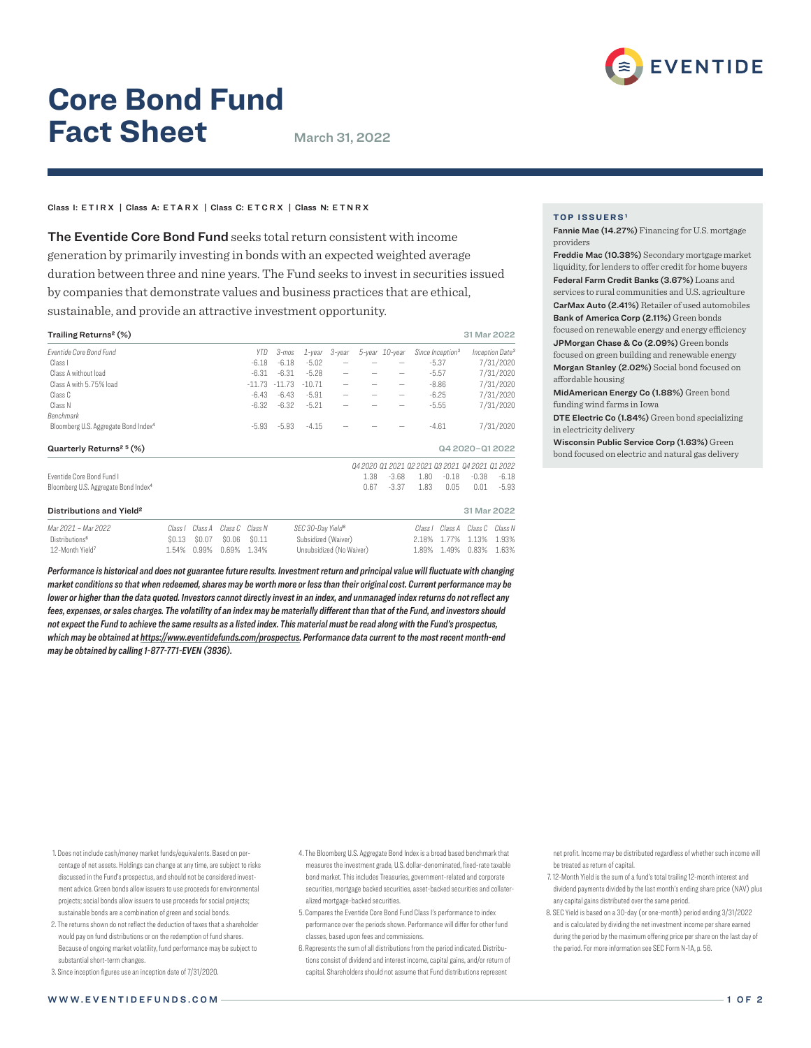

# **Core Bond Fund Fact Sheet** March 31, 2022

## Class I: ETIRX | Class A: ETARX | Class C: ETCRX | Class N: ETNRX

The Eventide Core Bond Fund seeks total return consistent with income generation by primarily investing in bonds with an expected weighted average duration between three and nine years. The Fund seeks to invest in securities issued by companies that demonstrate values and business practices that are ethical, sustainable, and provide an attractive investment opportunity.

| Trailing Returns <sup>2</sup> (%)                |         |         |         |            |          |                               |        |      |                |         |                              | 31 Mar 2022                                     |                             |
|--------------------------------------------------|---------|---------|---------|------------|----------|-------------------------------|--------|------|----------------|---------|------------------------------|-------------------------------------------------|-----------------------------|
| <b>Fventide Core Bond Fund</b>                   |         |         |         | <b>YTD</b> | 3-mos    | $1$ -year                     | 3-year |      | 5-year 10-year |         | Since Inception <sup>3</sup> |                                                 | Inception Date <sup>3</sup> |
| Class I                                          |         |         |         | $-6.18$    | $-6.18$  | $-5.02$                       |        |      |                |         | $-5.37$                      |                                                 | 7/31/2020                   |
| Class A without load                             |         |         |         | $-6.31$    | $-6.31$  | $-5.28$                       |        |      |                |         | $-5.57$                      |                                                 | 7/31/2020                   |
| Class A with 5.75% load                          |         |         |         | $-11.73$   | $-11.73$ | $-10.71$                      |        |      | -              |         | $-8.86$                      |                                                 | 7/31/2020                   |
| Class C                                          |         |         |         | $-6.43$    | $-6.43$  | $-5.91$                       |        |      | -              |         | $-6.25$                      |                                                 | 7/31/2020                   |
| Class N                                          |         |         |         | $-6.32$    | $-6.32$  | $-5.21$                       |        |      | -              |         | $-5.55$                      |                                                 | 7/31/2020                   |
| Benchmark                                        |         |         |         |            |          |                               |        |      |                |         |                              |                                                 |                             |
| Bloomberg U.S. Aggregate Bond Index <sup>4</sup> |         |         |         | $-5.93$    | $-5.93$  | $-4.15$                       |        |      |                |         | $-4.61$                      |                                                 | 7/31/2020                   |
| Quarterly Returns <sup>25</sup> (%)              |         |         |         |            |          |                               |        |      |                |         |                              | Q4 2020-Q1 2022                                 |                             |
|                                                  |         |         |         |            |          |                               |        |      |                |         |                              | 04 2020 01 2021 02 2021 03 2021 04 2021 01 2022 |                             |
| Eventide Core Bond Fund I                        |         |         |         |            |          |                               |        | 1.38 | $-3.68$        | 1.80    | $-0.18$                      | $-0.38$                                         | $-6.18$                     |
| Bloomberg U.S. Aggregate Bond Index <sup>4</sup> |         |         |         |            |          |                               |        | 0.67 | $-3.37$        | 1.83    | 0.05                         | 0.01                                            | $-5.93$                     |
| Distributions and Yield <sup>2</sup>             |         |         |         |            |          |                               |        |      |                |         |                              | 31 Mar 2022                                     |                             |
| Mar 2021 - Mar 2022                              | Class I | Class A | Class C | Class N    |          | SEC 30-Day Yield <sup>8</sup> |        |      |                | Class I | Class A                      | Class C                                         | Class N                     |
| Distributions <sup>6</sup>                       | \$0.13  | \$0.07  | \$0.06  | \$0.11     |          | Subsidized (Waiver)           |        |      |                | 2.18%   | 1.77%                        | 1.13%                                           | 1.93%                       |
| 12-Month Yield <sup>7</sup>                      | 1.54%   | 0.99%   | 0.69%   | 1.34%      |          | Unsubsidized (No Waiver)      |        |      | 1.89%          | 1.49%   | 0.83%                        | 1.63%                                           |                             |

*Performance is historical and does not guarantee future results. Investment return and principal value will fluctuate with changing market conditions so that when redeemed, shares may be worth more or less than their original cost. Current performance may be lower or higher than the data quoted. Investors cannot directly invest in an index, and unmanaged index returns do not reflect any fees, expenses, or sales charges. The volatility of an index may be materially different than that of the Fund, and investors should not expect the Fund to achieve the same results as a listed index. This material must be read along with the Fund's prospectus, which may be obtained at https://www.eventidefunds.com/prospectus. Performance data current to the most recent month-end may be obtained by calling 1-877-771-EVEN (3836).*

**TOP ISSUERS¹**

Fannie Mae (14.27%) Financing for U.S. mortgage providers

Freddie Mac (10.38%) Secondary mortgage market liquidity, for lenders to offer credit for home buyers Federal Farm Credit Banks (3.67%) Loans and services to rural communities and U.S. agriculture

CarMax Auto (2.41%) Retailer of used automobiles Bank of America Corp (2.11%) Green bonds

focused on renewable energy and energy efficiency JPMorgan Chase & Co (2.09%) Green bonds focused on green building and renewable energy

Morgan Stanley (2.02%) Social bond focused on affordable housing

MidAmerican Energy Co (1.88%) Green bond funding wind farms in Iowa

DTE Electric Co (1.84%) Green bond specializing in electricity delivery

Wisconsin Public Service Corp (1.63%) Green bond focused on electric and natural gas delivery

- 1. Does not include cash/money market funds/equivalents. Based on percentage of net assets. Holdings can change at any time, are subject to risks discussed in the Fund's prospectus, and should not be considered investment advice. Green bonds allow issuers to use proceeds for environmental projects; social bonds allow issuers to use proceeds for social projects; sustainable bonds are a combination of green and social bonds.
- 2. The returns shown do not reflect the deduction of taxes that a shareholder would pay on fund distributions or on the redemption of fund shares. Because of ongoing market volatility, fund performance may be subject to substantial short-term changes.
- 3. Since inception figures use an inception date of 7/31/2020.
- 4. The Bloomberg U.S. Aggregate Bond Index is a broad based benchmark that measures the investment grade, U.S. dollar-denominated, fixed-rate taxable bond market. This includes Treasuries, government-related and corporate securities, mortgage backed securities, asset-backed securities and collateralized mortgage-backed securities.
- 5. Compares the Eventide Core Bond Fund Class I's performance to index performance over the periods shown. Performance will differ for other fund classes, based upon fees and commissions.
- 6. Represents the sum of all distributions from the period indicated. Distributions consist of dividend and interest income, capital gains, and/or return of capital. Shareholders should not assume that Fund distributions represent

net profit. Income may be distributed regardless of whether such income will be treated as return of capital.

- 7. 12-Month Yield is the sum of a fund's total trailing 12-month interest and dividend payments divided by the last month's ending share price (NAV) plus any capital gains distributed over the same period.
- 8. SEC Yield is based on a 30-day (or one-month) period ending 3/31/2022 and is calculated by dividing the net investment income per share earned during the period by the maximum offering price per share on the last day of the period. For more information see SEC Form N-1A, p. 56.